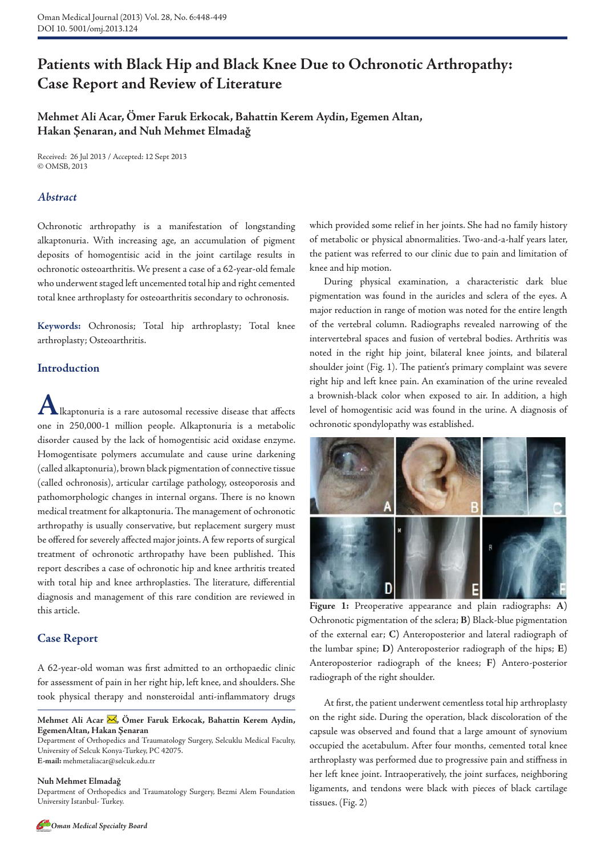# **Patients with Black Hip and Black Knee Due to Ochronotic Arthropathy: Case Report and Review of Literature**

**Mehmet Ali Acar, Ömer Faruk Erkocak, Bahattin Kerem Aydin, Egemen Altan, Hakan Şenaran, and Nuh Mehmet Elmadağ**

Received: 26 Jul 2013 / Accepted: 12 Sept 2013 © OMSB, 2013

### *Abstract*

Ochronotic arthropathy is a manifestation of longstanding alkaptonuria. With increasing age, an accumulation of pigment deposits of homogentisic acid in the joint cartilage results in ochronotic osteoarthritis. We present a case of a 62-year-old female who underwent staged left uncemented total hip and right cemented total knee arthroplasty for osteoarthritis secondary to ochronosis.

**Keywords:** Ochronosis; Total hip arthroplasty; Total knee arthroplasty; Osteoarthritis.

### **Introduction**

**A**lkaptonuria is a rare autosomal recessive disease that affects one in 250,000-1 million people. Alkaptonuria is a metabolic disorder caused by the lack of homogentisic acid oxidase enzyme. Homogentisate polymers accumulate and cause urine darkening (called alkaptonuria), brown black pigmentation of connective tissue (called ochronosis), articular cartilage pathology, osteoporosis and pathomorphologic changes in internal organs. There is no known medical treatment for alkaptonuria. The management of ochronotic arthropathy is usually conservative, but replacement surgery must be offered for severely affected major joints. A few reports of surgical treatment of ochronotic arthropathy have been published. This report describes a case of ochronotic hip and knee arthritis treated with total hip and knee arthroplasties. The literature, differential diagnosis and management of this rare condition are reviewed in this article.

### **Case Report**

A 62-year-old woman was first admitted to an orthopaedic clinic for assessment of pain in her right hip, left knee, and shoulders. She took physical therapy and nonsteroidal anti-inflammatory drugs

## **Nuh Mehmet Elmadağ**

Department of Orthopedics and Traumatology Surgery, Bezmi Alem Foundation University Istanbul- Turkey.

which provided some relief in her joints. She had no family history of metabolic or physical abnormalities. Two-and-a-half years later, the patient was referred to our clinic due to pain and limitation of knee and hip motion.

During physical examination, a characteristic dark blue pigmentation was found in the auricles and sclera of the eyes. A major reduction in range of motion was noted for the entire length of the vertebral column. Radiographs revealed narrowing of the intervertebral spaces and fusion of vertebral bodies. Arthritis was noted in the right hip joint, bilateral knee joints, and bilateral shoulder joint (Fig. 1). The patient's primary complaint was severe right hip and left knee pain. An examination of the urine revealed a brownish-black color when exposed to air. In addition, a high level of homogentisic acid was found in the urine. A diagnosis of ochronotic spondylopathy was established.



**Figure 1:** Preoperative appearance and plain radiographs: **A)** Ochronotic pigmentation of the sclera; **B)** Black-blue pigmentation of the external ear; **C)** Anteroposterior and lateral radiograph of the lumbar spine; **D)** Anteroposterior radiograph of the hips; **E)** Anteroposterior radiograph of the knees; **F)** Antero-posterior radiograph of the right shoulder.

At first, the patient underwent cementless total hip arthroplasty on the right side. During the operation, black discoloration of the capsule was observed and found that a large amount of synovium occupied the acetabulum. After four months, cemented total knee arthroplasty was performed due to progressive pain and stiffness in her left knee joint. Intraoperatively, the joint surfaces, neighboring ligaments, and tendons were black with pieces of black cartilage tissues. (Fig. 2)



Mehmet Ali Acar <a>
<sub>7</sub></a>  $\ddot{\text{O}}$  Mer Faruk Erkocak, Bahattin Kerem Aydin, **EgemenAltan, Hakan Şenaran**

Department of Orthopedics and Traumatology Surgery, Selcuklu Medical Faculty, University of Selcuk Konya-Turkey, PC 42075. **E-mail:** mehmetaliacar@selcuk.edu.tr